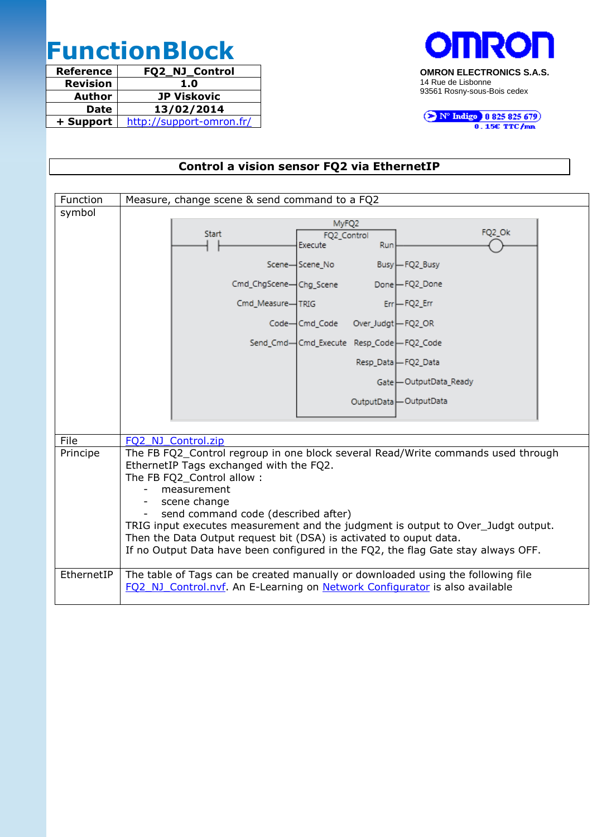# **FunctionBlock**

| <b>Reference</b> | FQ2_NJ_Control           |
|------------------|--------------------------|
| <b>Revision</b>  | 1.0                      |
| Author           | <b>JP Viskovic</b>       |
| <b>Date</b>      | 13/02/2014               |
| + Support        | http://support-omron.fr/ |



N° Indigo 10825825679

## **Control a vision sensor FQ2 via EthernetIP**

| Function   | Measure, change scene & send command to a FQ2                                     |  |  |  |  |  |
|------------|-----------------------------------------------------------------------------------|--|--|--|--|--|
| symbol     |                                                                                   |  |  |  |  |  |
|            | MyFQ2                                                                             |  |  |  |  |  |
|            | FQ2_Ok<br><b>Start</b><br>FQ2_Control<br>Execute<br>Run                           |  |  |  |  |  |
|            |                                                                                   |  |  |  |  |  |
|            | Scene-Scene_No<br>Busy-FQ2_Busy                                                   |  |  |  |  |  |
|            | Cmd_ChgScene-Chg_Scene<br>Done-FQ2_Done                                           |  |  |  |  |  |
|            | $Err$ -FQ2_Em<br>Cmd_Measure-TRIG                                                 |  |  |  |  |  |
|            | Code-Cmd_Code Over_Judgt-FQ2_OR                                                   |  |  |  |  |  |
|            | Send_Cmd-Cmd_Execute Resp_Code-FQ2_Code                                           |  |  |  |  |  |
|            | Resp_Data - FQ2_Data                                                              |  |  |  |  |  |
|            | Gate-OutputData_Ready                                                             |  |  |  |  |  |
|            | OutputData   OutputData                                                           |  |  |  |  |  |
|            |                                                                                   |  |  |  |  |  |
| File       | FQ2 NJ Control.zip                                                                |  |  |  |  |  |
| Principe   | The FB FQ2_Control regroup in one block several Read/Write commands used through  |  |  |  |  |  |
|            | EthernetIP Tags exchanged with the FQ2.                                           |  |  |  |  |  |
|            | The FB FQ2_Control allow:                                                         |  |  |  |  |  |
|            | measurement                                                                       |  |  |  |  |  |
|            | scene change<br>$-$                                                               |  |  |  |  |  |
|            | send command code (described after)                                               |  |  |  |  |  |
|            | TRIG input executes measurement and the judgment is output to Over_Judgt output.  |  |  |  |  |  |
|            | Then the Data Output request bit (DSA) is activated to ouput data.                |  |  |  |  |  |
|            | If no Output Data have been configured in the FQ2, the flag Gate stay always OFF. |  |  |  |  |  |
| EthernetIP | The table of Tags can be created manually or downloaded using the following file  |  |  |  |  |  |
|            | FQ2 NJ Control.nvf. An E-Learning on Network Configurator is also available       |  |  |  |  |  |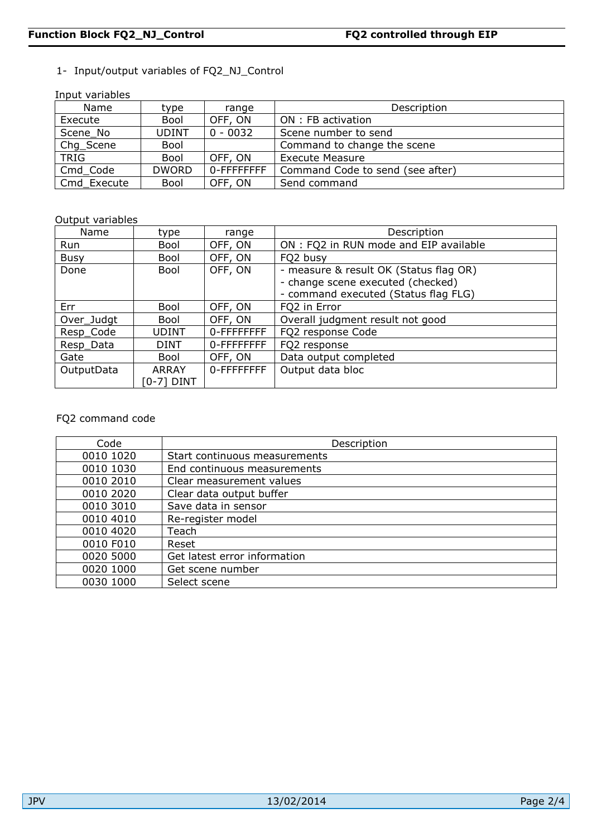#### 1- Input/output variables of FQ2\_NJ\_Control

Input variables

| THUR YUHUDICS |              |             |                                  |  |  |  |
|---------------|--------------|-------------|----------------------------------|--|--|--|
| Name          | type         | range       | Description                      |  |  |  |
| Execute       | Bool         | OFF, ON     | ON : FB activation               |  |  |  |
| Scene No      | UDINT        | $0 - 0032$  | Scene number to send             |  |  |  |
| Chg_Scene     | Bool         |             | Command to change the scene      |  |  |  |
| <b>TRIG</b>   | Bool         | OFF, ON     | <b>Execute Measure</b>           |  |  |  |
| Cmd_Code      | <b>DWORD</b> | 0-FFFFFFFFF | Command Code to send (see after) |  |  |  |
| Cmd Execute   | Bool         | OFF, ON     | Send command                     |  |  |  |

#### Output variables

| Name        | type         | range      | Description                            |
|-------------|--------------|------------|----------------------------------------|
| Run         | Bool         | OFF, ON    | ON : FQ2 in RUN mode and EIP available |
| <b>Busy</b> | Bool         | OFF, ON    | FQ2 busy                               |
| Done        | Bool         | OFF, ON    | - measure & result OK (Status flag OR) |
|             |              |            | - change scene executed (checked)      |
|             |              |            | - command executed (Status flag FLG)   |
| Err         | Bool         | OFF, ON    | FQ2 in Error                           |
| Over_Judgt  | Bool         | OFF, ON    | Overall judgment result not good       |
| Resp_Code   | <b>UDINT</b> | 0-FFFFFFFF | FQ2 response Code                      |
| Resp_Data   | <b>DINT</b>  | 0-FFFFFFFF | FQ2 response                           |
| Gate        | Bool         | OFF, ON    | Data output completed                  |
| OutputData  | <b>ARRAY</b> | 0-FFFFFFFF | Output data bloc                       |
|             | [0-7] DINT   |            |                                        |

#### FQ2 command code

| Code      | Description                   |
|-----------|-------------------------------|
| 0010 1020 | Start continuous measurements |
| 0010 1030 | End continuous measurements   |
| 0010 2010 | Clear measurement values      |
| 0010 2020 | Clear data output buffer      |
| 0010 3010 | Save data in sensor           |
| 0010 4010 | Re-register model             |
| 0010 4020 | Teach                         |
| 0010 F010 | Reset                         |
| 0020 5000 | Get latest error information  |
| 0020 1000 | Get scene number              |
| 0030 1000 | Select scene                  |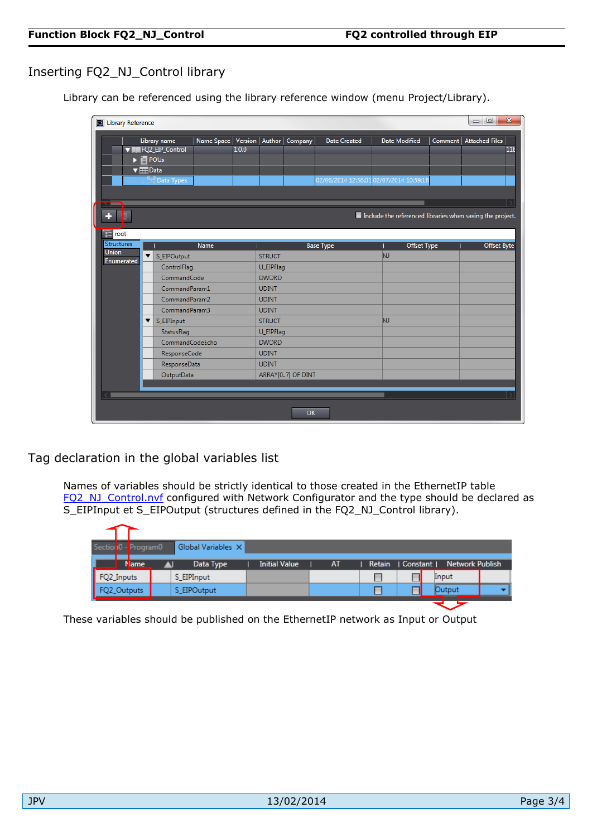### Inserting FQ2\_NJ\_Control library

Library can be referenced using the library reference window (menu Project/Library).

|              |                                         | Library name                              | Name Space   Version   Author   Company |       |               |                   | <b>Date Created</b>                     | <b>Date Modified</b> |             | Comment   Attached Files                                  |
|--------------|-----------------------------------------|-------------------------------------------|-----------------------------------------|-------|---------------|-------------------|-----------------------------------------|----------------------|-------------|-----------------------------------------------------------|
|              |                                         | <b>VIII FQ2_EIP_Control</b>               |                                         | 1.0.0 |               |                   |                                         |                      |             |                                                           |
|              |                                         | $\blacktriangleright$ $\blacksquare$ POUs |                                         |       |               |                   |                                         |                      |             |                                                           |
|              | $\blacktriangledown$ $\frac{1}{2}$ Data |                                           |                                         |       |               |                   | 02/06/2014 12:56:01 02/07/2014 10:59:18 |                      |             |                                                           |
|              |                                         | Data Types                                |                                         |       |               |                   |                                         |                      |             |                                                           |
|              |                                         |                                           |                                         |       |               |                   |                                         |                      |             |                                                           |
|              |                                         |                                           |                                         |       |               |                   |                                         |                      |             |                                                           |
|              |                                         |                                           |                                         |       |               |                   |                                         |                      |             | Include the referenced libraries when saving the project. |
| E<br>root    |                                         |                                           |                                         |       |               |                   |                                         |                      |             |                                                           |
| Structures   |                                         |                                           | <b>Name</b>                             |       |               |                   |                                         |                      | Offset Type |                                                           |
| <b>Union</b> | ▼                                       | S_EIPOutput                               |                                         |       | <b>STRUCT</b> |                   | <b>Base Type</b>                        | <b>NJ</b>            |             | <b>Offset Byte</b>                                        |
| Enumerated   |                                         | ControlFlag                               |                                         |       | U_EIPFlag     |                   |                                         |                      |             |                                                           |
|              |                                         | CommandCode                               |                                         |       | <b>DWORD</b>  |                   |                                         |                      |             |                                                           |
|              |                                         | CommandParam1                             |                                         |       | <b>UDINT</b>  |                   |                                         |                      |             |                                                           |
|              |                                         | CommandParam2                             |                                         |       | <b>UDINT</b>  |                   |                                         |                      |             |                                                           |
|              |                                         | CommandParam3                             |                                         |       | <b>UDINT</b>  |                   |                                         |                      |             |                                                           |
|              | ▼                                       | S_EIPInput                                |                                         |       | <b>STRUCT</b> |                   |                                         | NJ.                  |             |                                                           |
|              |                                         | StatusFlag                                |                                         |       | U_EIPFlag     |                   |                                         |                      |             |                                                           |
|              |                                         | CommandCodeEcho                           |                                         |       | <b>DWORD</b>  |                   |                                         |                      |             |                                                           |
|              |                                         | ResponseCode                              |                                         |       | <b>UDINT</b>  |                   |                                         |                      |             |                                                           |
|              |                                         | ResponseData                              |                                         |       | <b>UDINT</b>  |                   |                                         |                      |             |                                                           |
|              |                                         | OutputData                                |                                         |       |               | ARRAY[07] OF DINT |                                         |                      |             |                                                           |
|              |                                         |                                           |                                         |       |               |                   |                                         |                      |             |                                                           |
|              |                                         |                                           |                                         |       |               |                   |                                         |                      |             |                                                           |

Tag declaration in the global variables list

Names of variables should be strictly identical to those created in the EthernetIP table [FQ2\\_NJ\\_Control.nvf](http://support-omron.fr/zip/FQ2_NJ_Control.nvf) configured with Network Configurator and the type should be declared as S\_EIPInput et S\_EIPOutput (structures defined in the FQ2\_NJ\_Control library).

| Section 0 - Program0                    | Global Variables X |                      |    |  |                                     |  |
|-----------------------------------------|--------------------|----------------------|----|--|-------------------------------------|--|
| <b>Name</b>                             | Data Type          | <b>Initial Value</b> | AT |  | Retain   Constant   Network Publish |  |
|                                         | S EIPInput         |                      |    |  | Input                               |  |
| FQ2_Inputs<br>FQ2_Output<br>FQ2_Outputs | S EIPOutput        |                      |    |  | <b>Output</b>                       |  |

These variables should be published on the EthernetIP network as Input or Output